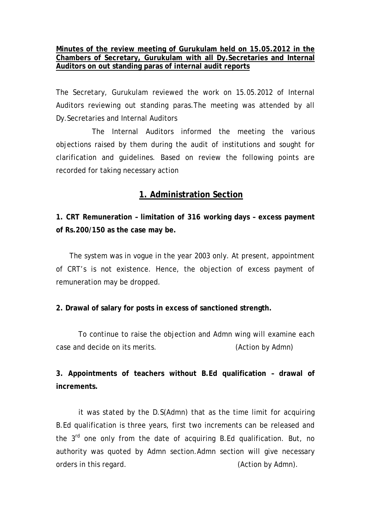### **Minutes of the review meeting of Gurukulam held on 15.05.2012 in the Chambers of Secretary, Gurukulam with all Dy.Secretaries and Internal Auditors on out standing paras of internal audit reports**

The Secretary, Gurukulam reviewed the work on 15.05.2012 of Internal Auditors reviewing out standing paras.The meeting was attended by all Dy.Secretaries and Internal Auditors

 The Internal Auditors informed the meeting the various objections raised by them during the audit of institutions and sought for clarification and guidelines. Based on review the following points are recorded for taking necessary action

# **1. Administration Section**

**1. CRT Remuneration – limitation of 316 working days – excess payment of Rs.200/150 as the case may be.** 

 The system was in vogue in the year 2003 only. At present, appointment of CRT's is not existence. Hence, the objection of excess payment of remuneration may be dropped.

## **2. Drawal of salary for posts in excess of sanctioned strength.**

 To continue to raise the objection and Admn wing will examine each case and decide on its merits. (Action by Admn)

**3. Appointments of teachers without B.Ed qualification – drawal of increments.** 

it was stated by the D.S(Admn) that as the time limit for acquiring B.Ed qualification is three years, first two increments can be released and the  $3<sup>rd</sup>$  one only from the date of acquiring B.Ed qualification. But, no authority was quoted by Admn section.Admn section will give necessary orders in this regard. (Action by Admn).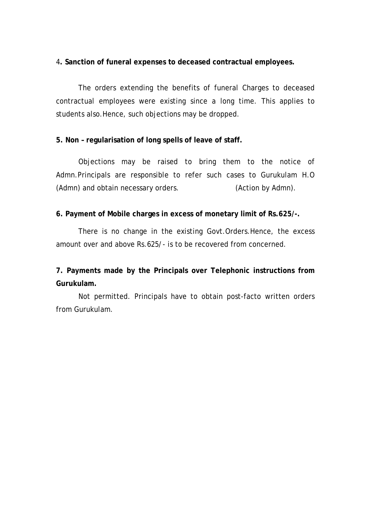#### 4**. Sanction of funeral expenses to deceased contractual employees.**

The orders extending the benefits of funeral Charges to deceased contractual employees were existing since a long time. This applies to students also.Hence, such objections may be dropped.

### **5. Non – regularisation of long spells of leave of staff.**

Objections may be raised to bring them to the notice of Admn.Principals are responsible to refer such cases to Gurukulam H.O (Admn) and obtain necessary orders. (Action by Admn).

### **6. Payment of Mobile charges in excess of monetary limit of Rs.625/-.**

There is no change in the existing Govt.Orders.Hence, the excess amount over and above Rs.625/- is to be recovered from concerned.

# **7. Payments made by the Principals over Telephonic instructions from Gurukulam.**

Not permitted. Principals have to obtain post-facto written orders from Gurukulam.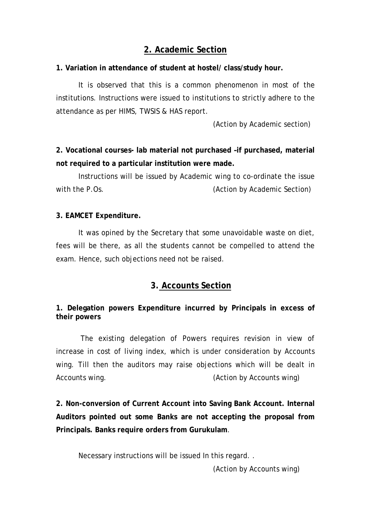# **2. Academic Section**

### **1. Variation in attendance of student at hostel/ class/study hour.**

 It is observed that this is a common phenomenon in most of the institutions. Instructions were issued to institutions to strictly adhere to the attendance as per HIMS, TWSIS & HAS report.

(Action by Academic section)

**2. Vocational courses- lab material not purchased –if purchased, material not required to a particular institution were made.** 

Instructions will be issued by Academic wing to co-ordinate the issue with the P.Os. **Exercise 2** (Action by Academic Section)

### **3. EAMCET Expenditure.**

It was opined by the Secretary that some unavoidable waste on diet, fees will be there, as all the students cannot be compelled to attend the exam. Hence, such objections need not be raised.

## **3. Accounts Section**

## **1. Delegation powers Expenditure incurred by Principals in excess of their powers**

 The existing delegation of Powers requires revision in view of increase in cost of living index, which is under consideration by Accounts wing. Till then the auditors may raise objections which will be dealt in Accounts wing. (Action by Accounts wing)

**2. Non-conversion of Current Account into Saving Bank Account. Internal Auditors pointed out some Banks are not accepting the proposal from Principals. Banks require orders from Gurukulam**.

Necessary instructions will be issued In this regard. .

(Action by Accounts wing)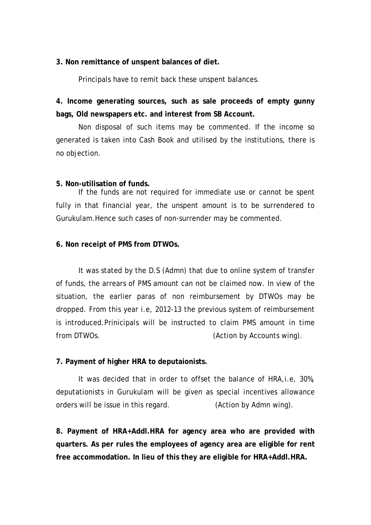#### **3. Non remittance of unspent balances of diet.**

Principals have to remit back these unspent balances.

**4. Income generating sources, such as sale proceeds of empty gunny bags, Old newspapers etc. and interest from SB Account.** 

Non disposal of such items may be commented. If the income so generated is taken into Cash Book and utilised by the institutions, there is no objection.

#### **5. Non-utilisation of funds.**

If the funds are not required for immediate use or cannot be spent fully in that financial year, the unspent amount is to be surrendered to Gurukulam.Hence such cases of non-surrender may be commented.

#### **6. Non receipt of PMS from DTWOs.**

It was stated by the D.S (Admn) that due to online system of transfer of funds, the arrears of PMS amount can not be claimed now. In view of the situation, the earlier paras of non reimbursement by DTWOs may be dropped. From this year i.e, 2012-13 the previous system of reimbursement is introduced.Prinicipals will be instructed to claim PMS amount in time from DTWOs. (Action by Accounts wing).

### **7. Payment of higher HRA to deputaionists.**

It was decided that in order to offset the balance of HRA,i.e, 30%, deputationists in Gurukulam will be given as special incentives allowance orders will be issue in this regard. (Action by Admn wing).

**8. Payment of HRA+Addl.HRA for agency area who are provided with quarters. As per rules the employees of agency area are eligible for rent free accommodation. In lieu of this they are eligible for HRA+Addl.HRA.**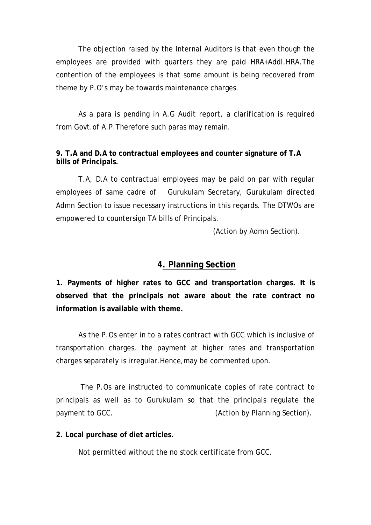The objection raised by the Internal Auditors is that even though the employees are provided with quarters they are paid HRA+Addl.HRA.The contention of the employees is that some amount is being recovered from theme by P.O's may be towards maintenance charges.

As a para is pending in A.G Audit report, a clarification is required from Govt.of A.P.Therefore such paras may remain.

## **9. T.A and D.A to contractual employees and counter signature of T.A bills of Principals.**

 T.A, D.A to contractual employees may be paid on par with regular employees of same cadre of Gurukulam Secretary, Gurukulam directed Admn Section to issue necessary instructions in this regards. The DTWOs are empowered to countersign TA bills of Principals.

(Action by Admn Section).

# **4. Planning Section**

**1. Payments of higher rates to GCC and transportation charges. It is observed that the principals not aware about the rate contract no information is available with theme.** 

As the P.Os enter in to a rates contract with GCC which is inclusive of transportation charges, the payment at higher rates and transportation charges separately is irregular.Hence,may be commented upon.

 The P.Os are instructed to communicate copies of rate contract to principals as well as to Gurukulam so that the principals regulate the payment to GCC. The same of the COC of the CAC (Action by Planning Section).

**2. Local purchase of diet articles.** 

Not permitted without the no stock certificate from GCC.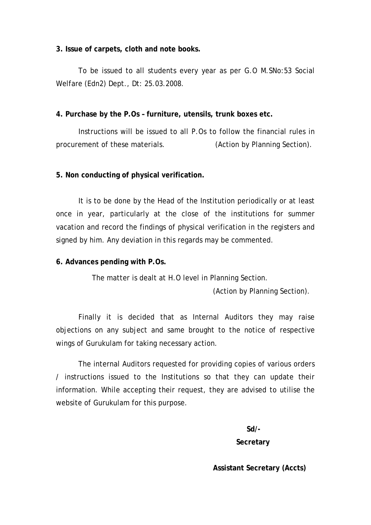#### **3. Issue of carpets, cloth and note books.**

To be issued to all students every year as per G.O M.SNo:53 Social Welfare (Edn2) Dept., Dt: 25.03.2008.

**4. Purchase by the P.Os – furniture, utensils, trunk boxes etc.** 

Instructions will be issued to all P.Os to follow the financial rules in procurement of these materials. (Action by Planning Section).

### **5. Non conducting of physical verification.**

It is to be done by the Head of the Institution periodically or at least once in year, particularly at the close of the institutions for summer vacation and record the findings of physical verification in the registers and signed by him. Any deviation in this regards may be commented.

#### **6. Advances pending with P.Os.**

The matter is dealt at H.O level in Planning Section.

(Action by Planning Section).

Finally it is decided that as Internal Auditors they may raise objections on any subject and same brought to the notice of respective wings of Gurukulam for taking necessary action.

 The internal Auditors requested for providing copies of various orders / instructions issued to the Institutions so that they can update their information. While accepting their request, they are advised to utilise the website of Gurukulam for this purpose.

**Sd/-** 

 **Secretary** 

**Assistant Secretary (Accts)**